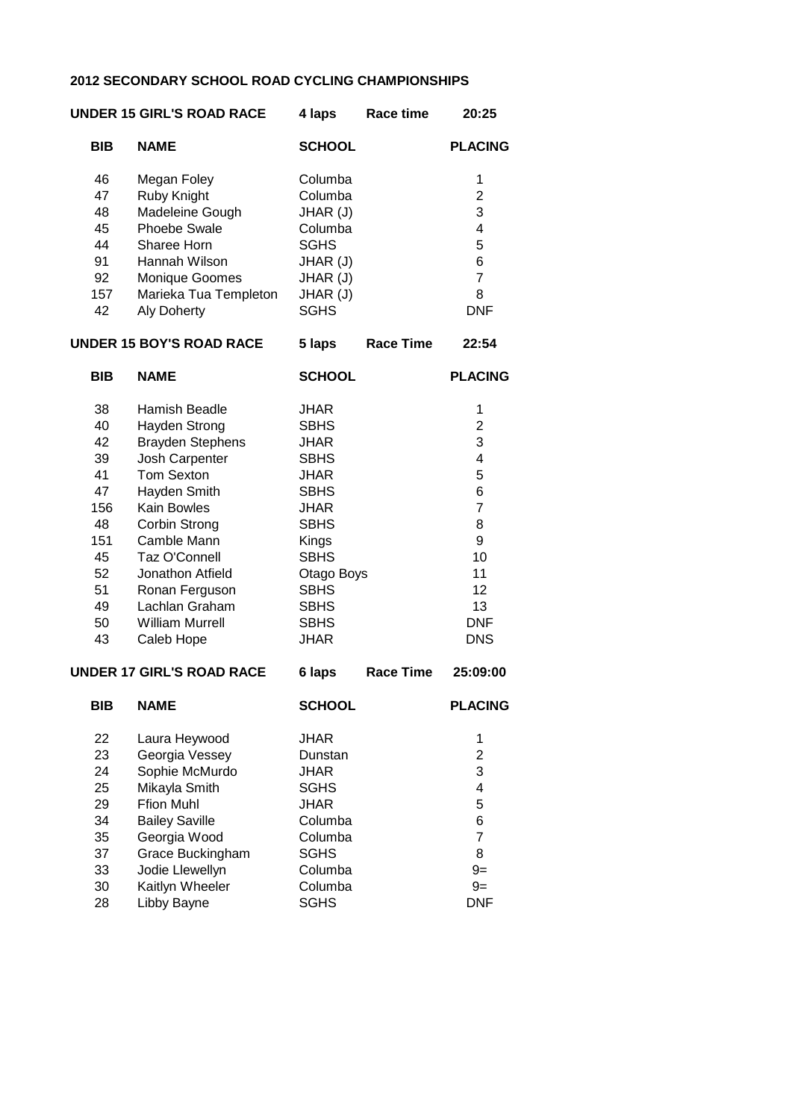#### **2012 SECONDARY SCHOOL ROAD CYCLING CHAMPIONSHIPS**

|            | <b>UNDER 15 GIRL'S ROAD RACE</b> | Race time<br>4 laps | 20:25          |
|------------|----------------------------------|---------------------|----------------|
| <b>BIB</b> | <b>NAME</b>                      | <b>SCHOOL</b>       | <b>PLACING</b> |
| 46         | Megan Foley                      | Columba             | 1              |
| 47         | Ruby Knight                      | Columba             | 2              |
| 48         | Madeleine Gough                  | JHAR (J)            | 3              |
| 45         | <b>Phoebe Swale</b>              | Columba             | 4              |
| 44         | Sharee Horn                      | <b>SGHS</b>         | 5              |
| 91         | Hannah Wilson                    | JHAR (J)            | 6              |
| 92         | <b>Monique Goomes</b>            | JHAR (J)            | 7              |
| 157        | Marieka Tua Templeton            | JHAR (J)            | 8              |
| 42         | <b>Aly Doherty</b>               | <b>SGHS</b>         | DNF            |
|            |                                  |                     |                |

# **UNDER 15 BOY'S ROAD RACE 5 laps Race Time 22:54**

| <b>NAME</b>             | <b>SCHOOL</b> | <b>PLACING</b> |
|-------------------------|---------------|----------------|
| Hamish Beadle           | <b>JHAR</b>   | 1              |
| Hayden Strong           | <b>SBHS</b>   | 2              |
| <b>Brayden Stephens</b> | <b>JHAR</b>   | 3              |
| Josh Carpenter          | <b>SBHS</b>   | 4              |
| <b>Tom Sexton</b>       | <b>JHAR</b>   | 5              |
| Hayden Smith            | <b>SBHS</b>   | 6              |
| Kain Bowles             | <b>JHAR</b>   | 7              |
| <b>Corbin Strong</b>    | <b>SBHS</b>   | 8              |
| Camble Mann             | Kings         | 9              |
| Taz O'Connell           | <b>SBHS</b>   | 10             |
| Jonathon Atfield        | Otago Boys    | 11             |
| Ronan Ferguson          | <b>SBHS</b>   | 12             |
| Lachlan Graham          | <b>SBHS</b>   | 13             |
| William Murrell         | <b>SBHS</b>   | <b>DNF</b>     |
| Caleb Hope              | JHAR          | DNS            |
|                         |               |                |

### **UNDER 17 GIRL'S ROAD RACE 6 laps Race Time 25:09:00**

| <b>NAME</b>           | <b>SCHOOL</b> | <b>PLACING</b> |
|-----------------------|---------------|----------------|
| Laura Heywood         | <b>JHAR</b>   | 1              |
| Georgia Vessey        | Dunstan       | 2              |
| Sophie McMurdo        | <b>JHAR</b>   | 3              |
| Mikayla Smith         | <b>SGHS</b>   | 4              |
| <b>Ffion Muhl</b>     | <b>JHAR</b>   | 5              |
| <b>Bailey Saville</b> | Columba       | 6              |
| Georgia Wood          | Columba       | 7              |
| Grace Buckingham      | SGHS          | 8              |
| Jodie Llewellyn       | Columba       | $9 =$          |
| Kaitlyn Wheeler       | Columba       | $9=$           |
| Libby Bayne           | SGHS          | DNF            |
|                       |               |                |